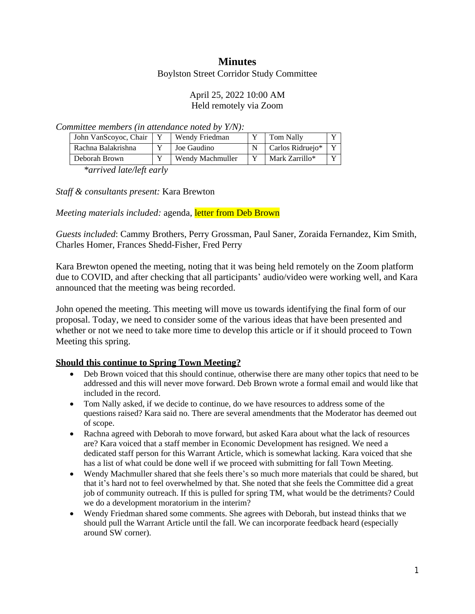# **Minutes**

Boylston Street Corridor Study Committee

#### April 25, 2022 10:00 AM Held remotely via Zoom

*Committee members (in attendance noted by Y/N):*

| John VanScoyoc, Chair | Wendy Friedman   | <b>Tom Nally</b> | $\mathbf{v}$   |
|-----------------------|------------------|------------------|----------------|
| Rachna Balakrishna    | Joe Gaudino      | Carlos Ridruejo* | $\mathbf{v}$   |
| Deborah Brown         | Wendy Machmuller | Mark Zarrillo*   | $\overline{V}$ |

*\*arrived late/left early*

*Staff & consultants present:* Kara Brewton

*Meeting materials included:* agenda, letter from Deb Brown

*Guests included*: Cammy Brothers, Perry Grossman, Paul Saner, Zoraida Fernandez, Kim Smith, Charles Homer, Frances Shedd-Fisher, Fred Perry

Kara Brewton opened the meeting, noting that it was being held remotely on the Zoom platform due to COVID, and after checking that all participants' audio/video were working well, and Kara announced that the meeting was being recorded.

John opened the meeting. This meeting will move us towards identifying the final form of our proposal. Today, we need to consider some of the various ideas that have been presented and whether or not we need to take more time to develop this article or if it should proceed to Town Meeting this spring.

## **Should this continue to Spring Town Meeting?**

- Deb Brown voiced that this should continue, otherwise there are many other topics that need to be addressed and this will never move forward. Deb Brown wrote a formal email and would like that included in the record.
- Tom Nally asked, if we decide to continue, do we have resources to address some of the questions raised? Kara said no. There are several amendments that the Moderator has deemed out of scope.
- Rachna agreed with Deborah to move forward, but asked Kara about what the lack of resources are? Kara voiced that a staff member in Economic Development has resigned. We need a dedicated staff person for this Warrant Article, which is somewhat lacking. Kara voiced that she has a list of what could be done well if we proceed with submitting for fall Town Meeting.
- Wendy Machmuller shared that she feels there's so much more materials that could be shared, but that it's hard not to feel overwhelmed by that. She noted that she feels the Committee did a great job of community outreach. If this is pulled for spring TM, what would be the detriments? Could we do a development moratorium in the interim?
- Wendy Friedman shared some comments. She agrees with Deborah, but instead thinks that we should pull the Warrant Article until the fall. We can incorporate feedback heard (especially around SW corner).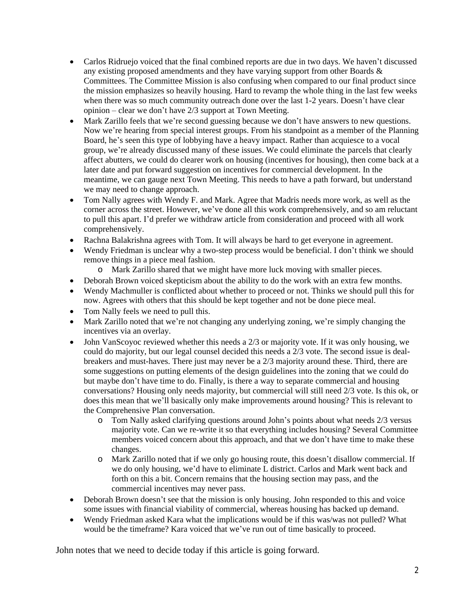- Carlos Ridruejo voiced that the final combined reports are due in two days. We haven't discussed any existing proposed amendments and they have varying support from other Boards & Committees. The Committee Mission is also confusing when compared to our final product since the mission emphasizes so heavily housing. Hard to revamp the whole thing in the last few weeks when there was so much community outreach done over the last 1-2 years. Doesn't have clear opinion – clear we don't have 2/3 support at Town Meeting.
- Mark Zarillo feels that we're second guessing because we don't have answers to new questions. Now we're hearing from special interest groups. From his standpoint as a member of the Planning Board, he's seen this type of lobbying have a heavy impact. Rather than acquiesce to a vocal group, we're already discussed many of these issues. We could eliminate the parcels that clearly affect abutters, we could do clearer work on housing (incentives for housing), then come back at a later date and put forward suggestion on incentives for commercial development. In the meantime, we can gauge next Town Meeting. This needs to have a path forward, but understand we may need to change approach.
- Tom Nally agrees with Wendy F. and Mark. Agree that Madris needs more work, as well as the corner across the street. However, we've done all this work comprehensively, and so am reluctant to pull this apart. I'd prefer we withdraw article from consideration and proceed with all work comprehensively.
- Rachna Balakrishna agrees with Tom. It will always be hard to get everyone in agreement.
- Wendy Friedman is unclear why a two-step process would be beneficial. I don't think we should remove things in a piece meal fashion.
	- o Mark Zarillo shared that we might have more luck moving with smaller pieces.
- Deborah Brown voiced skepticism about the ability to do the work with an extra few months.
- Wendy Machmuller is conflicted about whether to proceed or not. Thinks we should pull this for now. Agrees with others that this should be kept together and not be done piece meal.
- Tom Nally feels we need to pull this.
- Mark Zarillo noted that we're not changing any underlying zoning, we're simply changing the incentives via an overlay.
- John VanScoyoc reviewed whether this needs a 2/3 or majority vote. If it was only housing, we could do majority, but our legal counsel decided this needs a 2/3 vote. The second issue is dealbreakers and must-haves. There just may never be a 2/3 majority around these. Third, there are some suggestions on putting elements of the design guidelines into the zoning that we could do but maybe don't have time to do. Finally, is there a way to separate commercial and housing conversations? Housing only needs majority, but commercial will still need 2/3 vote. Is this ok, or does this mean that we'll basically only make improvements around housing? This is relevant to the Comprehensive Plan conversation.
	- o Tom Nally asked clarifying questions around John's points about what needs 2/3 versus majority vote. Can we re-write it so that everything includes housing? Several Committee members voiced concern about this approach, and that we don't have time to make these changes.
	- o Mark Zarillo noted that if we only go housing route, this doesn't disallow commercial. If we do only housing, we'd have to eliminate L district. Carlos and Mark went back and forth on this a bit. Concern remains that the housing section may pass, and the commercial incentives may never pass.
- Deborah Brown doesn't see that the mission is only housing. John responded to this and voice some issues with financial viability of commercial, whereas housing has backed up demand.
- Wendy Friedman asked Kara what the implications would be if this was/was not pulled? What would be the timeframe? Kara voiced that we've run out of time basically to proceed.

John notes that we need to decide today if this article is going forward.